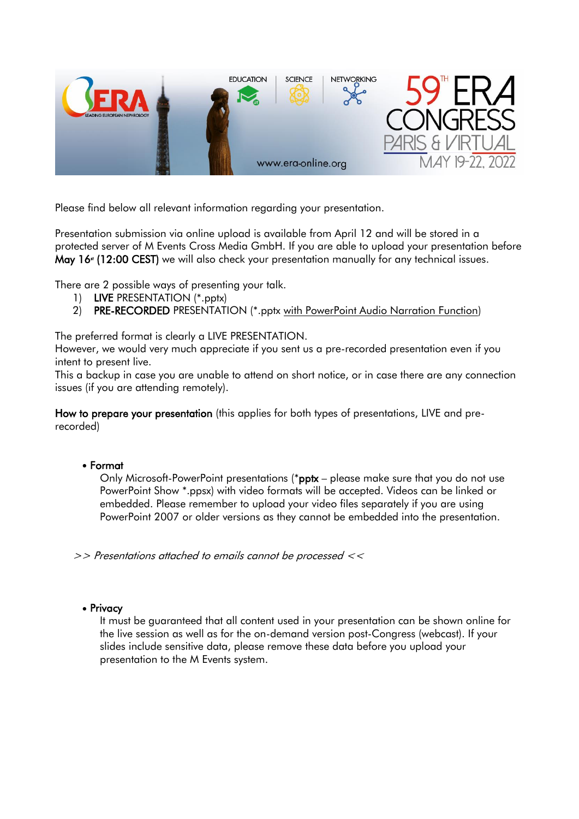

Please find below all relevant information regarding your presentation.

Presentation submission via online upload is available from April 12 and will be stored in a protected server of M Events Cross Media GmbH. If you are able to upload your presentation before May 16 $*$  (12:00 CEST) we will also check your presentation manually for any technical issues.

There are 2 possible ways of presenting your talk.

- 1) LIVE PRESENTATION (\*.pptx)
- 2) PRE-RECORDED PRESENTATION (\*.pptx with PowerPoint Audio Narration Function)

The preferred format is clearly a LIVE PRESENTATION.

However, we would very much appreciate if you sent us a pre-recorded presentation even if you intent to present live.

This a backup in case you are unable to attend on short notice, or in case there are any connection issues (if you are attending remotely).

How to prepare your presentation (this applies for both types of presentations, LIVE and prerecorded)

#### • Format

Only Microsoft-PowerPoint presentations (\*pptx – please make sure that you do not use PowerPoint Show \*.ppsx) with video formats will be accepted. Videos can be linked or embedded. Please remember to upload your video files separately if you are using PowerPoint 2007 or older versions as they cannot be embedded into the presentation.

>> Presentations attached to emails cannot be processed <<

# • Privacy

It must be guaranteed that all content used in your presentation can be shown online for the live session as well as for the on-demand version post-Congress (webcast). If your slides include sensitive data, please remove these data before you upload your presentation to the M Events system.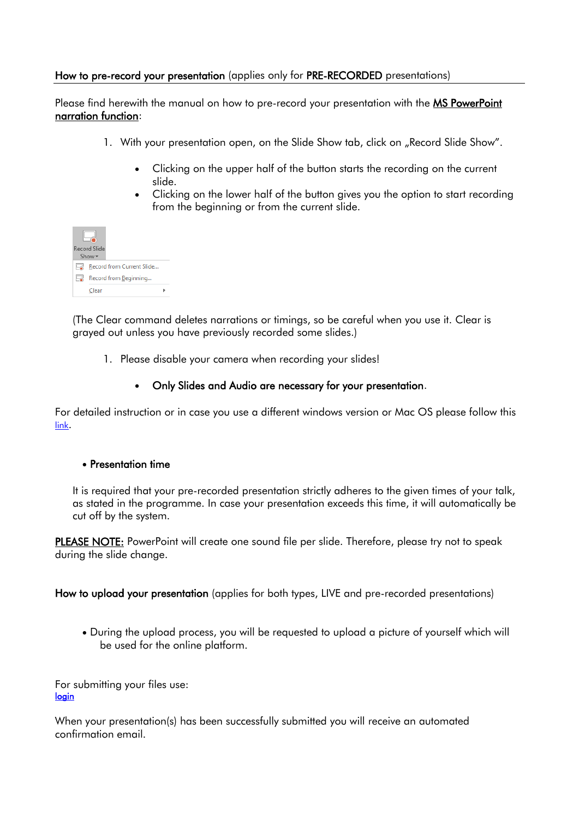### How to pre-record your presentation (applies only for PRE-RECORDED presentations)

Please find herewith the manual on how to pre-record your presentation with the MS PowerPoint narration function:

- 1. With your presentation open, on the Slide Show tab, click on "Record Slide Show".
	- Clicking on the upper half of the button starts the recording on the current slide.
	- Clicking on the lower half of the button gives you the option to start recording from the beginning or from the current slide.



(The Clear command deletes narrations or timings, so be careful when you use it. Clear is grayed out unless you have previously recorded some slides.)

1. Please disable your camera when recording your slides!

#### • Only Slides and Audio are necessary for your presentation.

For detailed instruction or in case you use a different windows version or Mac OS please follow this [link](https://r.mail.era-online.org/tr/cl/yxzZTf5asLvqFwNMVa_I4cTEMn5vJ3zDB_CLQvzlNdQJ0_6kYU81TlTTwVLFpwKJd63ZGPebtwGCbWssSlyxEN2HC27HFRsm4VFbD2TX2Ls9fl7P61YBX690dJh-20rEIC4jgzymBAOttgjnsJIc8CqRBJxVWBBrdB0SpVLkJ7gbheGyKHXuvnKbeO9DOzQhSbMJS-bUwzVnr_AT6U-q1Xbvg4VpuU61oy2VOmOGXo6KlpodYJOwtK_oiSgppfUYeQAlDInwdNbmAw2EJxQeiuwpQ0H3Zy4bdBoNZoltfryu5eNk2eqtWwsjbhgkamgMNxRlBWNWo4UTJVipNenB_Ck9Md5pQUDVvrc2Xm6_TWoi0zBQ22uMGkRMkujteERwqJZnW4YSypI0JRcVEqdtEwP2AKw6cB7u1g).

# • Presentation time

It is required that your pre-recorded presentation strictly adheres to the given times of your talk, as stated in the programme. In case your presentation exceeds this time, it will automatically be cut off by the system.

PLEASE NOTE: PowerPoint will create one sound file per slide. Therefore, please try not to speak during the slide change.

How to upload your presentation (applies for both types, LIVE and pre-recorded presentations)

• During the upload process, you will be requested to upload a picture of yourself which will be used for the online platform.

For submitting your files use: [login](https://r.mail.era-online.org/tr/cl/kMsdVg3bILdD80f-CfMOsjnXpLItR8FjZ79p6yla_JpnrfuJWpUaKWGxk9eUOpqT4k7D1KlOI_PYg6mR67TZdFFZPuQlh71TvCkPfg5LjYXW21WcZWotv4caQ0lb9CcKoMII-RFgJdCm_3T24X8rLAJm0v3-vMWbVYG6mcoNme8TRqIfUKXd4RY5zQ7xZm6ygK5nCbEU2Vl7ke20GBM2ypGeN4nBykdP-l-PE2tSvag2PHU-6QEwfyDPNa3z-gjabiPwUzq1p-YOUJrUEidhrHOOivFvCJC4w6IE7Qcbjzd_rukSzXhIkLuQfX3gPx4M8XbLmfamXNja)

When your presentation(s) has been successfully submitted you will receive an automated confirmation email.